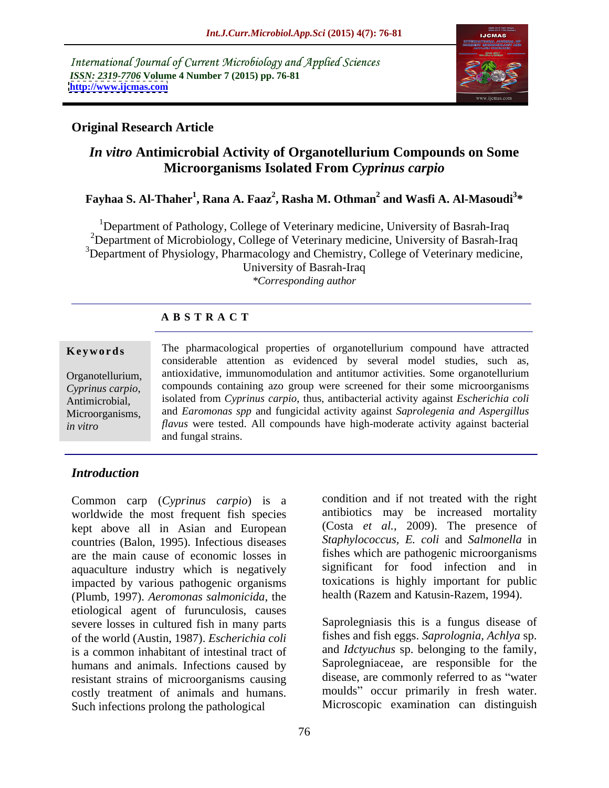International Journal of Current Microbiology and Applied Sciences *ISSN: 2319-7706* **Volume 4 Number 7 (2015) pp. 76-81 <http://www.ijcmas.com>**



### **Original Research Article**

# *In vitro* **Antimicrobial Activity of Organotellurium Compounds on Some Microorganisms Isolated From** *Cyprinus carpio*

### **Fayhaa S. Al-Thaher<sup>1</sup> , Rana A. Faaz<sup>2</sup> , Rasha M. Othman2 and Wasfi A. Al-Masoudi<sup>3</sup> \***

<sup>1</sup>Department of Pathology, College of Veterinary medicine, University of Basrah-Iraq <sup>2</sup>Department of Microbiology, College of Veterinary medicine, University of Basrah-Iraq <sup>3</sup>Department of Physiology, Pharmacology and Chemistry, College of Veterinary medicine, University of Basrah-Iraq *\*Corresponding author*

### **A B S T R A C T**

*in vitro*

**Keywords** The pharmacological properties of organotellurium compound have attracted considerable attention as evidenced by several model studies, such as, antioxidative, immunomodulation and antitumor activities. Some organotellurium Organotellurium, compounds containing azo group were screened for their some microorganisms *Cyprinus carpio*, compounds containing azo group were screened for their some microorganisms isolated from *Cyprinus carpio*, thus, antibacterial activity against *Escherichia coli* antimicrobial, and *Earomonas spp* and fungicidal activity against *Saprolegenia and Aspergillus* Microorganisms, *flavus* were tested. All compounds have high-moderate activity against bacterial and fungal strains.

### *Introduction*

Common carp (*Cyprinus carpio*) is a worldwide the most frequent fish species kept above all in Asian and European countries (Balon, 1995). Infectious diseases are the main cause of economic losses in aquaculture industry which is negatively impacted by various pathogenic organisms (Plumb, 1997). *Aeromonas salmonicida*, the etiological agent of furunculosis, causes severe losses in cultured fish in many parts<br>
Saprolegniasis this is a fungus disease of<br>
of the world (Austin 1987) Escherichia coli<br>
fishes and fish eggs. Saprolognia, Achlya sp. of the world (Austin, 1987). *Escherichia coli* fishes and fish eggs. *Saprolognia*, *Achlya* sp.<br>is a common inhabitant of intestinal tract of and *Idctyuchus* sp. belonging to the family, is a common inhabitant of intestinal tract of humans and animals. Infections caused by resistant strains of microorganisms causing costly treatment of animals and humans. Such infections prolong the pathological

condition and if not treated with the right antibiotics may be increased mortality (Costa *et al.,* 2009). The presence of *Staphylococcus, E. coli* and *Salmonella* in fishes which are pathogenic microorganisms significant for food infection and in toxications is highly important for public health (Razem and Katusin-Razem, 1994).

Saprolegniasis this is a fungus disease of fishes and fish eggs. *Saprolognia, Achlya* sp. and *Idctyuchus* sp. belonging to the family, Saprolegniaceae, are responsible for the disease, are commonly referred to as "water moulds" occur primarily in fresh water. Microscopic examination can distinguish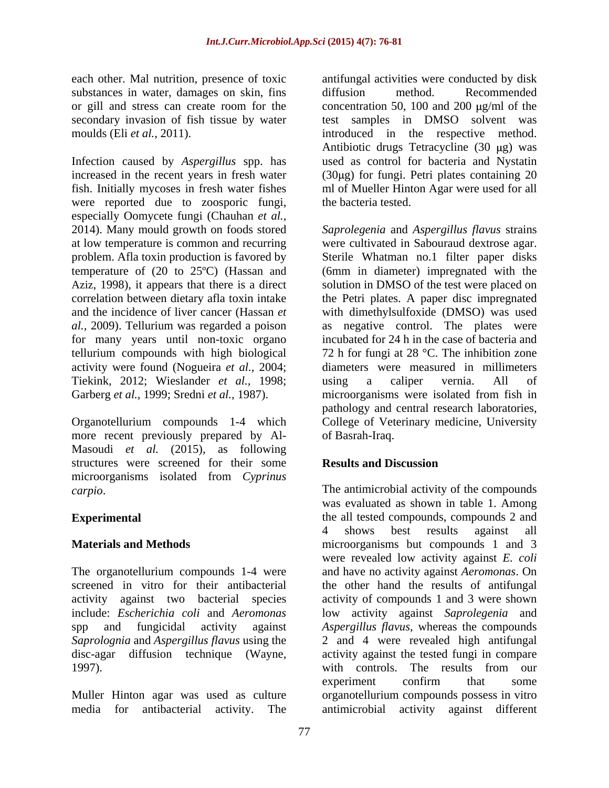substances in water, damages on skin, fins diffusion method. Recommended or gill and stress can create room for the

Infection caused by *Aspergillus* spp. has increased in the recent years in fresh water (30µg) for fungi. Petri plates containing 20 fish. Initially mycoses in fresh water fishes ml of Mueller Hinton Agar were used for all were reported due to zoosporic fungi, especially Oomycete fungi (Chauhan *et al.,* 2014). Many mould growth on foods stored *Saprolegenia* and *Aspergillus flavus* strains at low temperature is common and recurring were cultivated in Sabouraud dextrose agar. problem. Afla toxin production is favored by temperature of (20 to 25ºC) (Hassan and Aziz, 1998), it appears that there is a direct solution in DMSO of the test were placed on correlation between dietary afla toxin intake the Petri plates. A paper disc impregnated and the incidence of liver cancer (Hassan *et*  with dimethylsulfoxide (DMSO) was used *al.,* 2009). Tellurium was regarded a poison as negative control. The plates were for many years until non-toxic organo tellurium compounds with high biological 72 h for fungi at 28 °C. The inhibition zone activity were found (Nogueira*et al.,* 2004; diameters were measured in millimeters Tiekink, 2012; Wieslander *et al.,* 1998; Garberg *et al.*, 1999; Sredni *et al.*, 1987). microorganisms were isolated from fish in

more recent previously prepared by Al- Masoudi *et al.* (2015), as following structures were screened for their some microorganisms isolated from *Cyprinus* 

1997). with controls. The results from our

each other. Mal nutrition, presence of toxic antifungal activities were conducted by disk secondary invasion of fish tissue by water test samples in DMSO solvent was moulds (Eli *et al.*, 2011). The introduced in the respective method. diffusion method. Recommended concentration 50, 100 and 200  $\mu$ g/ml of the Antibiotic drugs Tetracycline (30 µg) was used as control for bacteria and Nystatin the bacteria tested.

Organotellurium compounds 1-4 which College of Veterinary medicine, University Sterile Whatman no.1 filter paper disks (6mm in diameter) impregnated with the incubated for 24 h in the case of bacteria and using a caliper vernia. All of pathology and central research laboratories, of Basrah-Iraq.

## **Results and Discussion**

*carpio*. The antimicrobial activity of the compounds **Experimental Experimental the all tested compounds, compounds 2 and Materials and Methods** microorganisms but compounds 1 and 3 The organotellurium compounds 1-4 were and have no activity against *Aeromonas*. On screened in vitro for their antibacterial the other hand the results of antifungal activity against two bacterial species activity of compounds 1 and 3 were shown include: *Escherichia coli* and *Aeromonas* low activity against *Saprolegenia* and spp and fungicidal activity against *Aspergillus flavus*, whereas the compounds *Saprolognia* and *Aspergillus flavus* using the 2 and 4 were revealed high antifungal disc-agar diffusion technique (Wayne, activity against the tested fungi in compare Muller Hinton agar was used as culture organotellurium compounds possess in vitro media for antibacterial activity. The antimicrobial activity against differentwas evaluated as shown in table 1. Among 4 shows best results against all were revealed low activity against *E. coli* with controls. The results from our experiment confirm that some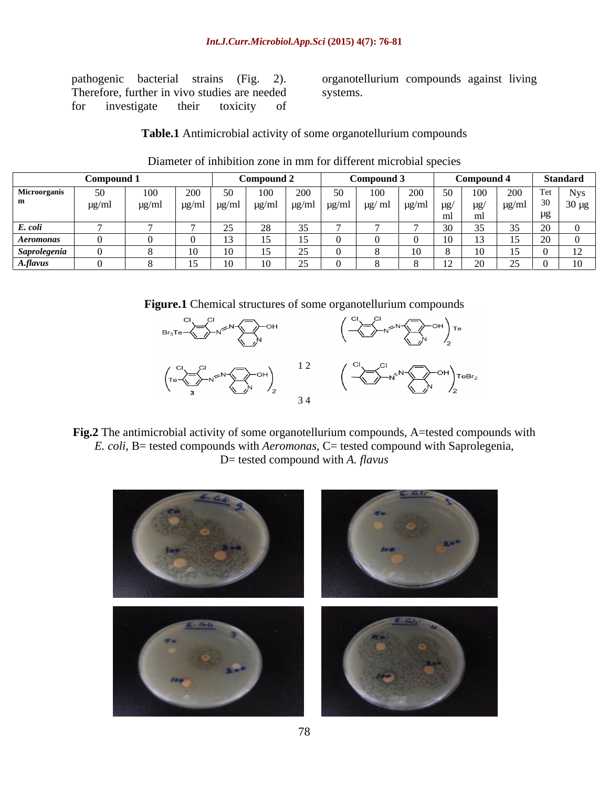### *Int.J.Curr.Microbiol.App.Sci* **(2015) 4(7): 76-81**

Therefore, further in vivo studies are needed for investigate their toxicity of

pathogenic bacterial strains (Fig. 2). organotellurium compounds against living systems.

**Table.1** Antimicrobial activity of some organotellurium compounds

|                  | Compound                      |       | Compound 2 |  |     |                      | Compound 3   |        |                 | Combound       |                                         |                  | <b>Standard</b> |            |
|------------------|-------------------------------|-------|------------|--|-----|----------------------|--------------|--------|-----------------|----------------|-----------------------------------------|------------------|-----------------|------------|
| Microorganis     | $50^{\circ}$<br>$\cup$ $\cup$ | 100   | 200<br>ZUU |  | 100 | 200<br>$\sim$ $\sim$ | $50^{\circ}$ | 100    | 20<br>$\sim$ 00 | -50<br>$\cup$  | 100                                     | 200<br>$\sim$ 00 |                 | <b>Nys</b> |
|                  | µg/ml                         | ug/m' | $\mu$ g/n  |  |     | .                    |              | ug/ ml | $\pm 0.00$ m    | $\mu$ g<br>. - |                                         |                  | $\sim$          |            |
|                  |                               |       |            |  |     |                      |              |        |                 |                |                                         |                  | $\overline{11}$ |            |
| E. coli          |                               |       |            |  |     |                      |              |        |                 |                |                                         |                  |                 |            |
| <b>Aeromonas</b> |                               |       |            |  |     |                      |              |        |                 |                | ⊥                                       |                  |                 |            |
| Saprolegenia     |                               |       |            |  |     |                      |              |        |                 |                |                                         |                  |                 |            |
| A.flavus         |                               |       |            |  |     | $\sim$ $\sim$        |              |        |                 | $1^{\circ}$    | $\Delta$ <sup><math>\alpha</math></sup> | $\sim$           |                 |            |

### Diameter of inhibition zone in mm for different microbial species

**Figure.1** Chemical structures of some organotellurium compounds



Fig.2 The antimicrobial activity of some organotellurium compounds, A=tested compounds with *E. coli*, B= tested compounds with *Aeromonas*, C= tested compound with Saprolegenia, D= tested compound with *A. flavus*

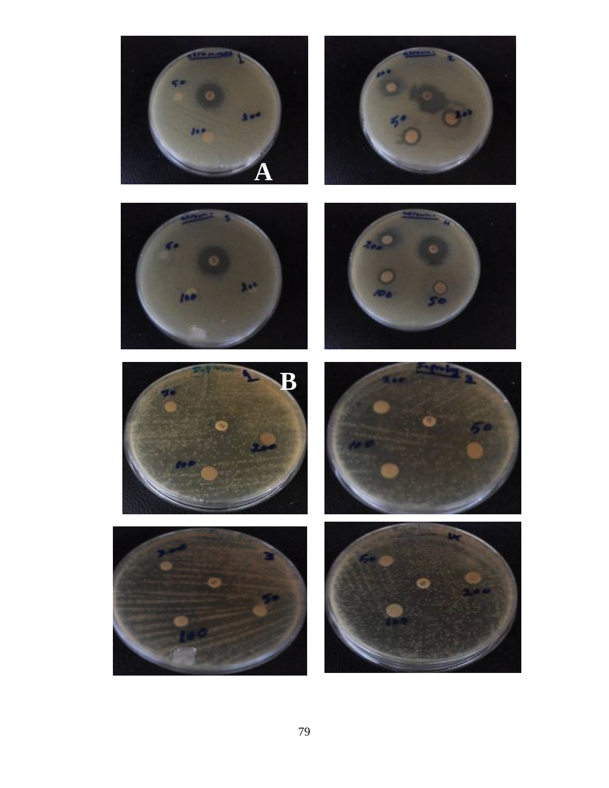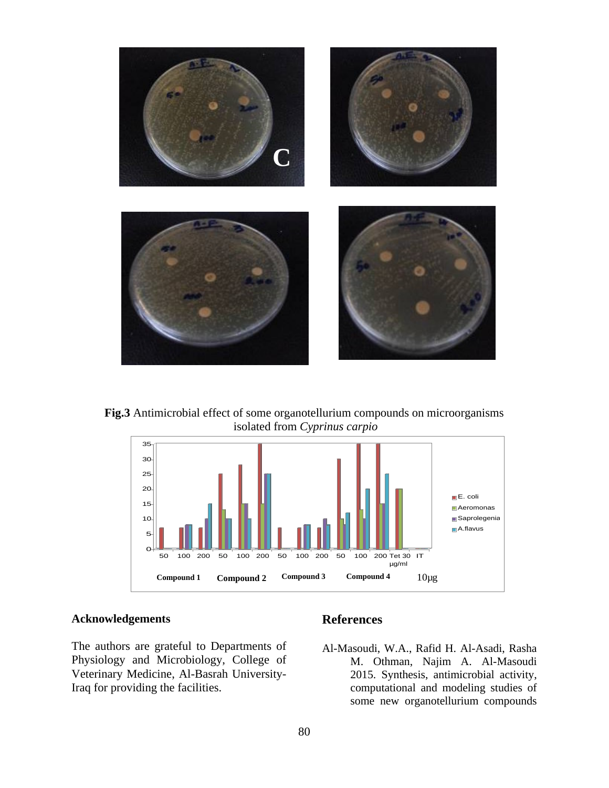

**Fig.3** Antimicrobial effect of some organotellurium compounds on microorganisms isolated from *Cyprinus carpio* anotellurium compounds on microorganisms



### **Acknowledgements**

The authors are grateful to Departments of Al-Masoudi, W.A., Rafid H. Al-Asadi, Rasha Physiology and Microbiology, College of Veterinary Medicine, Al-Basrah University-

### **References**

Iraq for providing the facilities. computational and modeling studies of M. Othman, Najim A. Al-Masoudi 2015. Synthesis, antimicrobial activity, some new organotellurium compounds